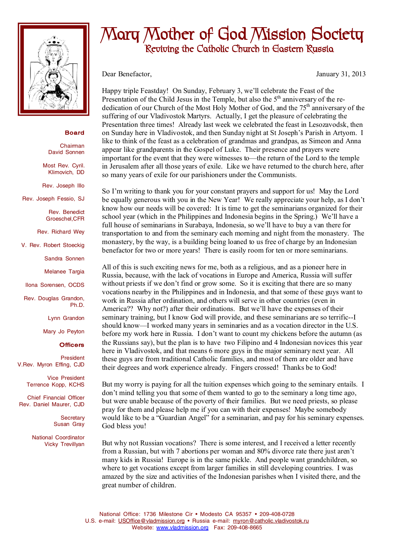

## **Board**

Chairman David Sonnen

Most Rev. Cyril. Klimovich, DD

Rev. Joseph Illo

Rev. Joseph Fessio, SJ

Rev. Benedict Groeschel,CFR

Rev. Richard Wey

V. Rev. Robert Stoeckig

Sandra Sonnen

Melanee Targia

Ilona Sorensen, OCDS

Rev. Douglas Grandon, Ph.D.

Lynn Grandon

Mary Jo Peyton

## **Officers**

President V.Rev. Myron Effing, CJD

> Vice President Terrence Kopp, KCHS

Chief Financial Officer Rev. Daniel Maurer, CJD

> **Secretary** Susan Gray

National Coordinator Vicky Trevillyan

## **Mary Mother of God Mission Society Reviving the Catholic Church in Eastern Russia**

Dear Benefactor, January 31, 2013

Happy triple Feastday! On Sunday, February 3, we'll celebrate the Feast of the Presentation of the Child Jesus in the Temple, but also the  $5<sup>th</sup>$  anniversary of the rededication of our Church of the Most Holy Mother of God, and the 75<sup>th</sup> anniversary of the suffering of our Vladivostok Martyrs. Actually, I get the pleasure of celebrating the Presentation three times! Already last week we celebrated the feast in Lesozavodsk, then on Sunday here in Vladivostok, and then Sunday night at St Joseph's Parish in Artyom. I like to think of the feast as a celebration of grandmas and grandpas, as Simeon and Anna appear like grandparents in the Gospel of Luke. Their presence and prayers were important for the event that they were witnesses to—the return of the Lord to the temple in Jerusalem after all those years of exile. Like we have returned to the church here, after so many years of exile for our parishioners under the Communists.

So I'm writing to thank you for your constant prayers and support for us! May the Lord be equally generous with you in the New Year! We really appreciate your help, as I don't know how our needs will be covered: It is time to get the seminarians organized for their school year (which in the Philippines and Indonesia begins in the Spring.) We'll have a full house of seminarians in Surabaya, Indonesia, so we'll have to buy a van there for transportation to and from the seminary each morning and night from the monastery. The monastery, by the way, is a building being loaned to us free of charge by an Indonesian benefactor for two or more years! There is easily room for ten or more seminarians.

All of this is such exciting news for me, both as a religious, and as a pioneer here in Russia, because, with the lack of vocations in Europe and America, Russia will suffer without priests if we don't find or grow some. So it is exciting that there are so many vocations nearby in the Philippines and in Indonesia, and that some of these guys want to work in Russia after ordination, and others will serve in other countries (even in America?? Why not?) after their ordinations. But we'll have the expenses of their seminary training, but I know God will provide, and these seminarians are so terrific--I should know—I worked many years in seminaries and as a vocation director in the U.S. before my work here in Russia. I don't want to count my chickens before the autumn (as the Russians say), but the plan is to have two Filipino and 4 Indonesian novices this year here in Vladivostok, and that means 6 more guys in the major seminary next year. All these guys are from traditional Catholic families, and most of them are older and have their degrees and work experience already. Fingers crossed! Thanks be to God!

But my worry is paying for all the tuition expenses which going to the seminary entails. I don't mind telling you that some of them wanted to go to the seminary a long time ago, but were unable because of the poverty of their families. But we need priests, so please pray for them and please help me if you can with their expenses! Maybe somebody would like to be a "Guardian Angel" for a seminarian, and pay for his seminary expenses. God bless you!

But why not Russian vocations? There is some interest, and I received a letter recently from a Russian, but with 7 abortions per woman and 80% divorce rate there just aren't many kids in Russia! Europe is in the same pickle. And people want grandchildren, so where to get vocations except from larger families in still developing countries. I was amazed by the size and activities of the Indonesian parishes when I visited there, and the great number of children.